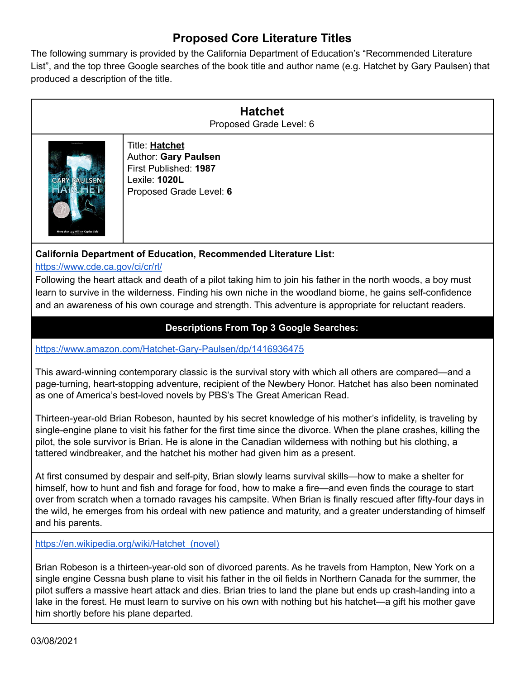## **Proposed Core Literature Titles**

The following summary is provided by the California Department of Education's "Recommended Literature List", and the top three Google searches of the book title and author name (e.g. Hatchet by Gary Paulsen) that produced a description of the title.

> **Hatchet** Proposed Grade Level: 6



Title: **Hatchet** Author: **Gary Paulsen** First Published: **1987** Lexile: **1020L** Proposed Grade Level: **6**

## **California Department of Education, Recommended Literature List:**

<https://www.cde.ca.gov/ci/cr/rl/>

Following the heart attack and death of a pilot taking him to join his father in the north woods, a boy must learn to survive in the wilderness. Finding his own niche in the woodland biome, he gains self-confidence and an awareness of his own courage and strength. This adventure is appropriate for reluctant readers.

## **Descriptions From Top 3 Google Searches:**

<https://www.amazon.com/Hatchet-Gary-Paulsen/dp/1416936475>

This award-winning contemporary classic is the survival story with which all others are compared—and a page-turning, heart-stopping adventure, recipient of the Newbery Honor. Hatchet has also been nominated as one of America's best-loved novels by PBS's The Great American Read.

Thirteen-year-old Brian Robeson, haunted by his secret knowledge of his mother's infidelity, is traveling by single-engine plane to visit his father for the first time since the divorce. When the plane crashes, killing the pilot, the sole survivor is Brian. He is alone in the Canadian wilderness with nothing but his clothing, a tattered windbreaker, and the hatchet his mother had given him as a present.

At first consumed by despair and self-pity, Brian slowly learns survival skills—how to make a shelter for himself, how to hunt and fish and forage for food, how to make a fire—and even finds the courage to start over from scratch when a tornado ravages his campsite. When Brian is finally rescued after fifty-four days in the wild, he emerges from his ordeal with new patience and maturity, and a greater understanding of himself and his parents.

[https://en.wikipedia.org/wiki/Hatchet\\_\(novel\)](https://en.wikipedia.org/wiki/Hatchet_(novel))

Brian Robeson is a thirteen-year-old son of divorced parents. As he travels from Hampton, New York on a single engine Cessna bush plane to visit his father in the oil fields in Northern Canada for the summer, the pilot suffers a massive heart attack and dies. Brian tries to land the plane but ends up crash-landing into a lake in the forest. He must learn to survive on his own with nothing but his hatchet—a gift his mother gave him shortly before his plane departed.

03/08/2021